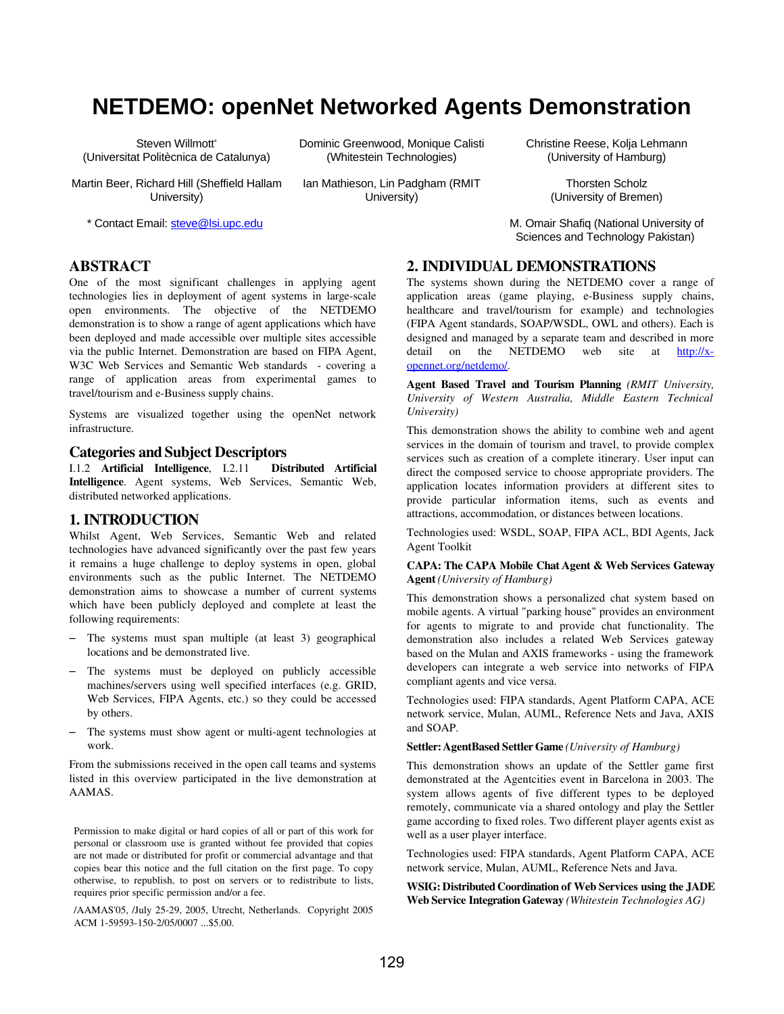# **NETDEMO: openNet Networked Agents Demonstration**

Steven Willmott\* (Universitat Politècnica de Catalunya)

Martin Beer, Richard Hill (Sheffield Hallam University)

\* Contact Email: steve@lsi.upc.edu

Dominic Greenwood, Monique Calisti (Whitestein Technologies)

Ian Mathieson, Lin Padgham (RMIT University)

Christine Reese, Kolja Lehmann (University of Hamburg)

> Thorsten Scholz (University of Bremen)

M. Omair Shafiq (National University of Sciences and Technology Pakistan)

# ABSTRACT

One of the most significant challenges in applying agent technologies lies in deployment of agent systems in large-scale open environments. The objective of the NETDEMO demonstration is to show a range of agent applications which have been deployed and made accessible over multiple sites accessible via the public Internet. Demonstration are based on FIPA Agent, W3C Web Services and Semantic Web standards - covering a range of application areas from experimental games to travel/tourism and e-Business supply chains.

Systems are visualized together using the openNet network infrastructure.

#### Categories and Subject Descriptors

I.1.2 Artificial Intelligence, I.2.11 Distributed Artificial Intelligence. Agent systems, Web Services, Semantic Web, distributed networked applications.

## 1. INTRODUCTION

Whilst Agent, Web Services, Semantic Web and related technologies have advanced significantly over the past few years it remains a huge challenge to deploy systems in open, global environments such as the public Internet. The NETDEMO demonstration aims to showcase a number of current systems which have been publicly deployed and complete at least the following requirements:

- The systems must span multiple (at least 3) geographical locations and be demonstrated live.
- The systems must be deployed on publicly accessible machines/servers using well specified interfaces (e.g. GRID, Web Services, FIPA Agents, etc.) so they could be accessed by others.
- The systems must show agent or multi-agent technologies at work.

From the submissions received in the open call teams and systems listed in this overview participated in the live demonstration at AAMAS.

Permission to make digital or hard copies of all or part of this work for personal or classroom use is granted without fee provided that copies are not made or distributed for profit or commercial advantage and that copies bear this notice and the full citation on the first page. To copy otherwise, to republish, to post on servers or to redistribute to lists, requires prior specific permission and/or a fee.

/AAMAS'05, /July 2529, 2005, Utrecht, Netherlands. Copyright 2005 ACM 1-59593-150-2/05/0007 ... \$5.00.

## 2. INDIVIDUAL DEMONSTRATIONS

The systems shown during the NETDEMO cover a range of application areas (game playing, e-Business supply chains, healthcare and travel/tourism for example) and technologies (FIPA Agent standards, SOAP/WSDL, OWL and others). Each is designed and managed by a separate team and described in more detail on the NETDEMO web site at http://xopennet.org/netdemo/.

Agent Based Travel and Tourism Planning *(RMIT University, University of Western Australia, Middle Eastern Technical University)*

This demonstration shows the ability to combine web and agent services in the domain of tourism and travel, to provide complex services such as creation of a complete itinerary. User input can direct the composed service to choose appropriate providers. The application locates information providers at different sites to provide particular information items, such as events and attractions, accommodation, or distances between locations.

Technologies used: WSDL, SOAP, FIPA ACL, BDI Agents, Jack Agent Toolkit

#### CAPA: The CAPA Mobile Chat Agent & Web Services Gateway Agent *(University of Hamburg)*

This demonstration shows a personalized chat system based on mobile agents. A virtual "parking house" provides an environment for agents to migrate to and provide chat functionality. The demonstration also includes a related Web Services gateway based on the Mulan and AXIS frameworks - using the framework developers can integrate a web service into networks of FIPA compliant agents and vice versa.

Technologies used: FIPA standards, Agent Platform CAPA, ACE network service, Mulan, AUML, Reference Nets and Java, AXIS and SOAP.

#### Settler: AgentBased Settler Game *(University of Hamburg)*

This demonstration shows an update of the Settler game first demonstrated at the Agentcities event in Barcelona in 2003. The system allows agents of five different types to be deployed remotely, communicate via a shared ontology and play the Settler game according to fixed roles. Two different player agents exist as well as a user player interface.

Technologies used: FIPA standards, Agent Platform CAPA, ACE network service, Mulan, AUML, Reference Nets and Java.

WSIG: Distributed Coordination of Web Services using the JADE Web Service Integration Gateway *(Whitestein Technologies AG)*